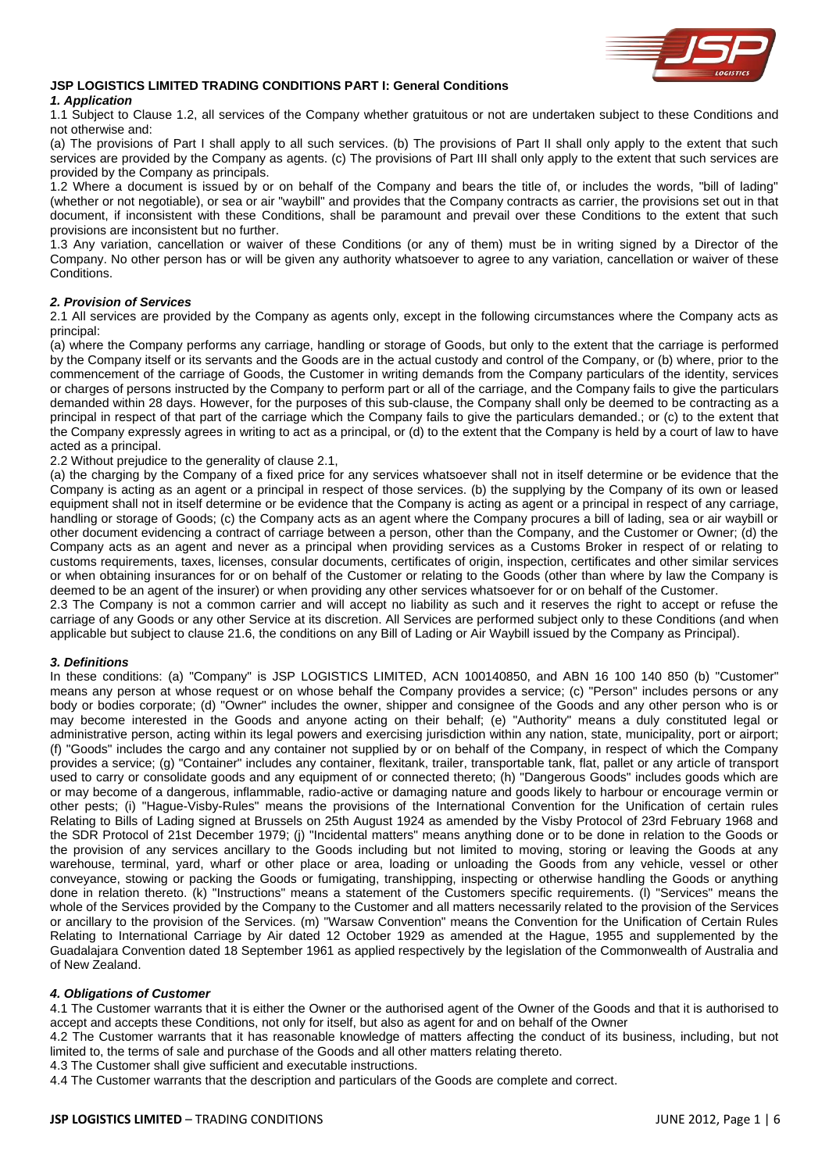

# **JSP LOGISTICS LIMITED TRADING CONDITIONS PART I: General Conditions**

# *1. Application*

1.1 Subject to Clause 1.2, all services of the Company whether gratuitous or not are undertaken subject to these Conditions and not otherwise and:

(a) The provisions of Part I shall apply to all such services. (b) The provisions of Part II shall only apply to the extent that such services are provided by the Company as agents. (c) The provisions of Part III shall only apply to the extent that such services are provided by the Company as principals.

1.2 Where a document is issued by or on behalf of the Company and bears the title of, or includes the words, "bill of lading" (whether or not negotiable), or sea or air "waybill" and provides that the Company contracts as carrier, the provisions set out in that document, if inconsistent with these Conditions, shall be paramount and prevail over these Conditions to the extent that such provisions are inconsistent but no further.

1.3 Any variation, cancellation or waiver of these Conditions (or any of them) must be in writing signed by a Director of the Company. No other person has or will be given any authority whatsoever to agree to any variation, cancellation or waiver of these Conditions.

# *2. Provision of Services*

2.1 All services are provided by the Company as agents only, except in the following circumstances where the Company acts as principal:

(a) where the Company performs any carriage, handling or storage of Goods, but only to the extent that the carriage is performed by the Company itself or its servants and the Goods are in the actual custody and control of the Company, or (b) where, prior to the commencement of the carriage of Goods, the Customer in writing demands from the Company particulars of the identity, services or charges of persons instructed by the Company to perform part or all of the carriage, and the Company fails to give the particulars demanded within 28 days. However, for the purposes of this sub-clause, the Company shall only be deemed to be contracting as a principal in respect of that part of the carriage which the Company fails to give the particulars demanded.; or (c) to the extent that the Company expressly agrees in writing to act as a principal, or (d) to the extent that the Company is held by a court of law to have acted as a principal.

2.2 Without prejudice to the generality of clause 2.1,

(a) the charging by the Company of a fixed price for any services whatsoever shall not in itself determine or be evidence that the Company is acting as an agent or a principal in respect of those services. (b) the supplying by the Company of its own or leased equipment shall not in itself determine or be evidence that the Company is acting as agent or a principal in respect of any carriage, handling or storage of Goods; (c) the Company acts as an agent where the Company procures a bill of lading, sea or air waybill or other document evidencing a contract of carriage between a person, other than the Company, and the Customer or Owner; (d) the Company acts as an agent and never as a principal when providing services as a Customs Broker in respect of or relating to customs requirements, taxes, licenses, consular documents, certificates of origin, inspection, certificates and other similar services or when obtaining insurances for or on behalf of the Customer or relating to the Goods (other than where by law the Company is deemed to be an agent of the insurer) or when providing any other services whatsoever for or on behalf of the Customer.

2.3 The Company is not a common carrier and will accept no liability as such and it reserves the right to accept or refuse the carriage of any Goods or any other Service at its discretion. All Services are performed subject only to these Conditions (and when applicable but subject to clause 21.6, the conditions on any Bill of Lading or Air Waybill issued by the Company as Principal).

# *3. Definitions*

In these conditions: (a) "Company" is JSP LOGISTICS LIMITED, ACN 100140850, and ABN 16 100 140 850 (b) "Customer" means any person at whose request or on whose behalf the Company provides a service; (c) "Person" includes persons or any body or bodies corporate; (d) "Owner" includes the owner, shipper and consignee of the Goods and any other person who is or may become interested in the Goods and anyone acting on their behalf; (e) "Authority" means a duly constituted legal or administrative person, acting within its legal powers and exercising jurisdiction within any nation, state, municipality, port or airport; (f) "Goods" includes the cargo and any container not supplied by or on behalf of the Company, in respect of which the Company provides a service; (g) "Container" includes any container, flexitank, trailer, transportable tank, flat, pallet or any article of transport used to carry or consolidate goods and any equipment of or connected thereto; (h) "Dangerous Goods" includes goods which are or may become of a dangerous, inflammable, radio-active or damaging nature and goods likely to harbour or encourage vermin or other pests; (i) "Hague-Visby-Rules" means the provisions of the International Convention for the Unification of certain rules Relating to Bills of Lading signed at Brussels on 25th August 1924 as amended by the Visby Protocol of 23rd February 1968 and the SDR Protocol of 21st December 1979; (j) "Incidental matters" means anything done or to be done in relation to the Goods or the provision of any services ancillary to the Goods including but not limited to moving, storing or leaving the Goods at any warehouse, terminal, yard, wharf or other place or area, loading or unloading the Goods from any vehicle, vessel or other conveyance, stowing or packing the Goods or fumigating, transhipping, inspecting or otherwise handling the Goods or anything done in relation thereto. (k) "Instructions" means a statement of the Customers specific requirements. (l) "Services" means the whole of the Services provided by the Company to the Customer and all matters necessarily related to the provision of the Services or ancillary to the provision of the Services. (m) "Warsaw Convention" means the Convention for the Unification of Certain Rules Relating to International Carriage by Air dated 12 October 1929 as amended at the Hague, 1955 and supplemented by the Guadalajara Convention dated 18 September 1961 as applied respectively by the legislation of the Commonwealth of Australia and of New Zealand.

# *4. Obligations of Customer*

4.1 The Customer warrants that it is either the Owner or the authorised agent of the Owner of the Goods and that it is authorised to accept and accepts these Conditions, not only for itself, but also as agent for and on behalf of the Owner

4.2 The Customer warrants that it has reasonable knowledge of matters affecting the conduct of its business, including, but not limited to, the terms of sale and purchase of the Goods and all other matters relating thereto.

4.3 The Customer shall give sufficient and executable instructions.

4.4 The Customer warrants that the description and particulars of the Goods are complete and correct.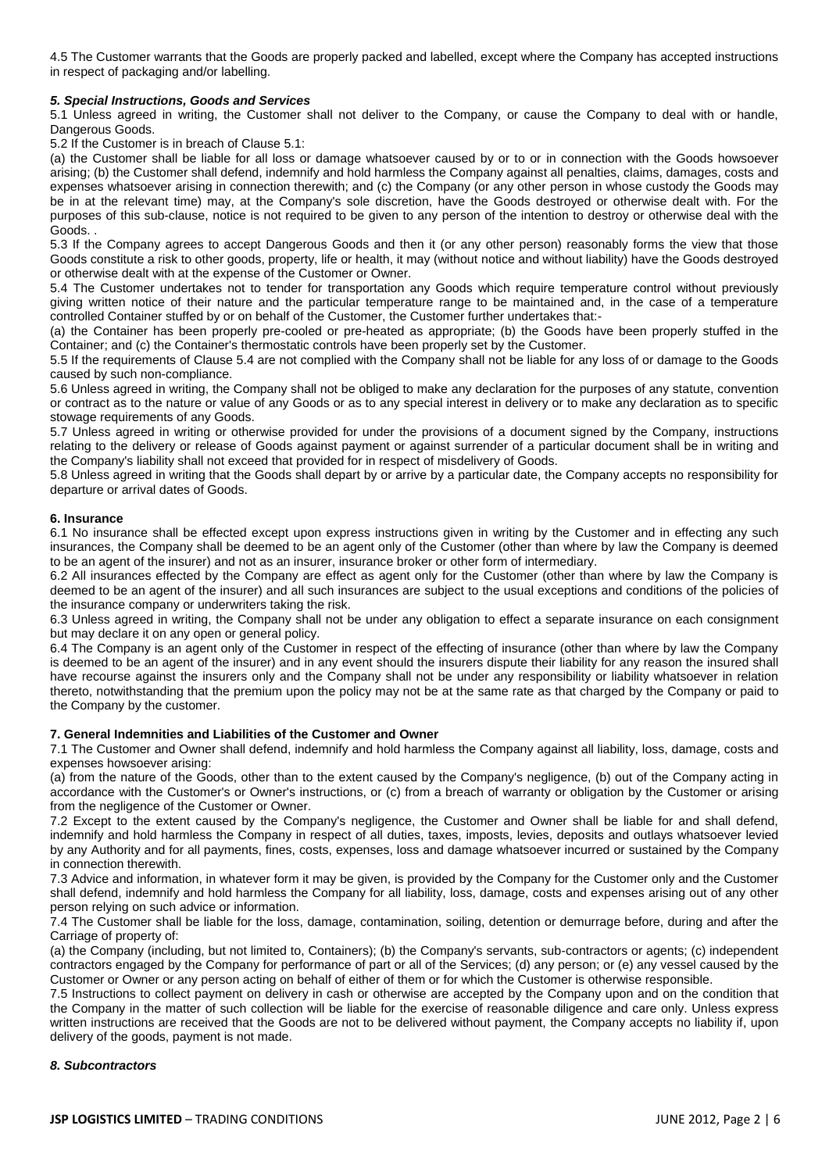4.5 The Customer warrants that the Goods are properly packed and labelled, except where the Company has accepted instructions in respect of packaging and/or labelling.

## *5. Special Instructions, Goods and Services*

5.1 Unless agreed in writing, the Customer shall not deliver to the Company, or cause the Company to deal with or handle, Dangerous Goods.

5.2 If the Customer is in breach of Clause 5.1:

(a) the Customer shall be liable for all loss or damage whatsoever caused by or to or in connection with the Goods howsoever arising; (b) the Customer shall defend, indemnify and hold harmless the Company against all penalties, claims, damages, costs and expenses whatsoever arising in connection therewith; and (c) the Company (or any other person in whose custody the Goods may be in at the relevant time) may, at the Company's sole discretion, have the Goods destroyed or otherwise dealt with. For the purposes of this sub-clause, notice is not required to be given to any person of the intention to destroy or otherwise deal with the Goods. .

5.3 If the Company agrees to accept Dangerous Goods and then it (or any other person) reasonably forms the view that those Goods constitute a risk to other goods, property, life or health, it may (without notice and without liability) have the Goods destroyed or otherwise dealt with at the expense of the Customer or Owner.

5.4 The Customer undertakes not to tender for transportation any Goods which require temperature control without previously giving written notice of their nature and the particular temperature range to be maintained and, in the case of a temperature controlled Container stuffed by or on behalf of the Customer, the Customer further undertakes that:-

(a) the Container has been properly pre-cooled or pre-heated as appropriate; (b) the Goods have been properly stuffed in the Container; and (c) the Container's thermostatic controls have been properly set by the Customer.

5.5 If the requirements of Clause 5.4 are not complied with the Company shall not be liable for any loss of or damage to the Goods caused by such non-compliance.

5.6 Unless agreed in writing, the Company shall not be obliged to make any declaration for the purposes of any statute, convention or contract as to the nature or value of any Goods or as to any special interest in delivery or to make any declaration as to specific stowage requirements of any Goods.

5.7 Unless agreed in writing or otherwise provided for under the provisions of a document signed by the Company, instructions relating to the delivery or release of Goods against payment or against surrender of a particular document shall be in writing and the Company's liability shall not exceed that provided for in respect of misdelivery of Goods.

5.8 Unless agreed in writing that the Goods shall depart by or arrive by a particular date, the Company accepts no responsibility for departure or arrival dates of Goods.

#### **6. Insurance**

6.1 No insurance shall be effected except upon express instructions given in writing by the Customer and in effecting any such insurances, the Company shall be deemed to be an agent only of the Customer (other than where by law the Company is deemed to be an agent of the insurer) and not as an insurer, insurance broker or other form of intermediary.

6.2 All insurances effected by the Company are effect as agent only for the Customer (other than where by law the Company is deemed to be an agent of the insurer) and all such insurances are subject to the usual exceptions and conditions of the policies of the insurance company or underwriters taking the risk.

6.3 Unless agreed in writing, the Company shall not be under any obligation to effect a separate insurance on each consignment but may declare it on any open or general policy.

6.4 The Company is an agent only of the Customer in respect of the effecting of insurance (other than where by law the Company is deemed to be an agent of the insurer) and in any event should the insurers dispute their liability for any reason the insured shall have recourse against the insurers only and the Company shall not be under any responsibility or liability whatsoever in relation thereto, notwithstanding that the premium upon the policy may not be at the same rate as that charged by the Company or paid to the Company by the customer.

#### **7. General Indemnities and Liabilities of the Customer and Owner**

7.1 The Customer and Owner shall defend, indemnify and hold harmless the Company against all liability, loss, damage, costs and expenses howsoever arising:

(a) from the nature of the Goods, other than to the extent caused by the Company's negligence, (b) out of the Company acting in accordance with the Customer's or Owner's instructions, or (c) from a breach of warranty or obligation by the Customer or arising from the negligence of the Customer or Owner.

7.2 Except to the extent caused by the Company's negligence, the Customer and Owner shall be liable for and shall defend, indemnify and hold harmless the Company in respect of all duties, taxes, imposts, levies, deposits and outlays whatsoever levied by any Authority and for all payments, fines, costs, expenses, loss and damage whatsoever incurred or sustained by the Company in connection therewith.

7.3 Advice and information, in whatever form it may be given, is provided by the Company for the Customer only and the Customer shall defend, indemnify and hold harmless the Company for all liability, loss, damage, costs and expenses arising out of any other person relying on such advice or information.

7.4 The Customer shall be liable for the loss, damage, contamination, soiling, detention or demurrage before, during and after the Carriage of property of:

(a) the Company (including, but not limited to, Containers); (b) the Company's servants, sub-contractors or agents; (c) independent contractors engaged by the Company for performance of part or all of the Services; (d) any person; or (e) any vessel caused by the Customer or Owner or any person acting on behalf of either of them or for which the Customer is otherwise responsible.

7.5 Instructions to collect payment on delivery in cash or otherwise are accepted by the Company upon and on the condition that the Company in the matter of such collection will be liable for the exercise of reasonable diligence and care only. Unless express written instructions are received that the Goods are not to be delivered without payment, the Company accepts no liability if, upon delivery of the goods, payment is not made.

#### *8. Subcontractors*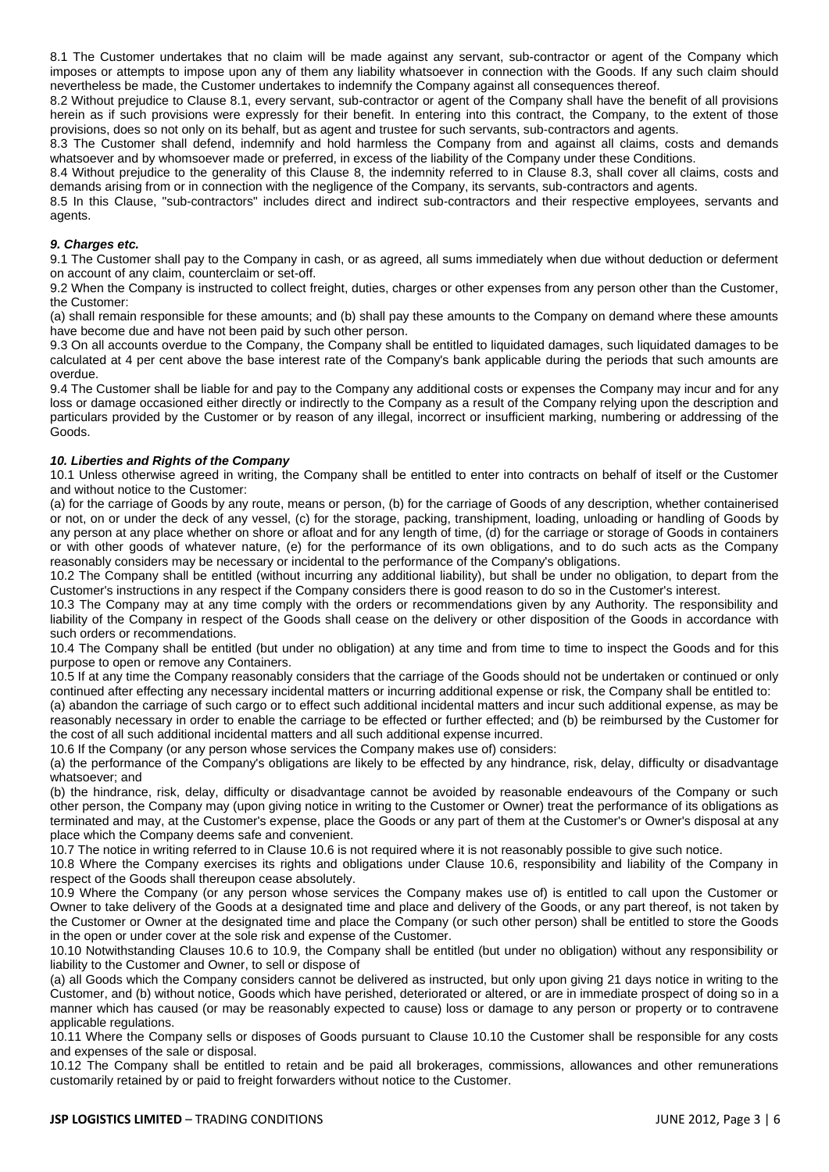8.1 The Customer undertakes that no claim will be made against any servant, sub-contractor or agent of the Company which imposes or attempts to impose upon any of them any liability whatsoever in connection with the Goods. If any such claim should nevertheless be made, the Customer undertakes to indemnify the Company against all consequences thereof.

8.2 Without prejudice to Clause 8.1, every servant, sub-contractor or agent of the Company shall have the benefit of all provisions herein as if such provisions were expressly for their benefit. In entering into this contract, the Company, to the extent of those provisions, does so not only on its behalf, but as agent and trustee for such servants, sub-contractors and agents.

8.3 The Customer shall defend, indemnify and hold harmless the Company from and against all claims, costs and demands whatsoever and by whomsoever made or preferred, in excess of the liability of the Company under these Conditions.

8.4 Without prejudice to the generality of this Clause 8, the indemnity referred to in Clause 8.3, shall cover all claims, costs and demands arising from or in connection with the negligence of the Company, its servants, sub-contractors and agents.

8.5 In this Clause, "sub-contractors" includes direct and indirect sub-contractors and their respective employees, servants and agents.

# *9. Charges etc.*

9.1 The Customer shall pay to the Company in cash, or as agreed, all sums immediately when due without deduction or deferment on account of any claim, counterclaim or set-off.

9.2 When the Company is instructed to collect freight, duties, charges or other expenses from any person other than the Customer, the Customer:

(a) shall remain responsible for these amounts; and (b) shall pay these amounts to the Company on demand where these amounts have become due and have not been paid by such other person.

9.3 On all accounts overdue to the Company, the Company shall be entitled to liquidated damages, such liquidated damages to be calculated at 4 per cent above the base interest rate of the Company's bank applicable during the periods that such amounts are overdue.

9.4 The Customer shall be liable for and pay to the Company any additional costs or expenses the Company may incur and for any loss or damage occasioned either directly or indirectly to the Company as a result of the Company relying upon the description and particulars provided by the Customer or by reason of any illegal, incorrect or insufficient marking, numbering or addressing of the Goods.

# *10. Liberties and Rights of the Company*

10.1 Unless otherwise agreed in writing, the Company shall be entitled to enter into contracts on behalf of itself or the Customer and without notice to the Customer:

(a) for the carriage of Goods by any route, means or person, (b) for the carriage of Goods of any description, whether containerised or not, on or under the deck of any vessel, (c) for the storage, packing, transhipment, loading, unloading or handling of Goods by any person at any place whether on shore or afloat and for any length of time, (d) for the carriage or storage of Goods in containers or with other goods of whatever nature, (e) for the performance of its own obligations, and to do such acts as the Company reasonably considers may be necessary or incidental to the performance of the Company's obligations.

10.2 The Company shall be entitled (without incurring any additional liability), but shall be under no obligation, to depart from the Customer's instructions in any respect if the Company considers there is good reason to do so in the Customer's interest.

10.3 The Company may at any time comply with the orders or recommendations given by any Authority. The responsibility and liability of the Company in respect of the Goods shall cease on the delivery or other disposition of the Goods in accordance with such orders or recommendations.

10.4 The Company shall be entitled (but under no obligation) at any time and from time to time to inspect the Goods and for this purpose to open or remove any Containers.

10.5 If at any time the Company reasonably considers that the carriage of the Goods should not be undertaken or continued or only continued after effecting any necessary incidental matters or incurring additional expense or risk, the Company shall be entitled to:

(a) abandon the carriage of such cargo or to effect such additional incidental matters and incur such additional expense, as may be reasonably necessary in order to enable the carriage to be effected or further effected; and (b) be reimbursed by the Customer for the cost of all such additional incidental matters and all such additional expense incurred.

10.6 If the Company (or any person whose services the Company makes use of) considers:

(a) the performance of the Company's obligations are likely to be effected by any hindrance, risk, delay, difficulty or disadvantage whatsoever; and

(b) the hindrance, risk, delay, difficulty or disadvantage cannot be avoided by reasonable endeavours of the Company or such other person, the Company may (upon giving notice in writing to the Customer or Owner) treat the performance of its obligations as terminated and may, at the Customer's expense, place the Goods or any part of them at the Customer's or Owner's disposal at any place which the Company deems safe and convenient.

10.7 The notice in writing referred to in Clause 10.6 is not required where it is not reasonably possible to give such notice.

10.8 Where the Company exercises its rights and obligations under Clause 10.6, responsibility and liability of the Company in respect of the Goods shall thereupon cease absolutely.

10.9 Where the Company (or any person whose services the Company makes use of) is entitled to call upon the Customer or Owner to take delivery of the Goods at a designated time and place and delivery of the Goods, or any part thereof, is not taken by the Customer or Owner at the designated time and place the Company (or such other person) shall be entitled to store the Goods in the open or under cover at the sole risk and expense of the Customer.

10.10 Notwithstanding Clauses 10.6 to 10.9, the Company shall be entitled (but under no obligation) without any responsibility or liability to the Customer and Owner, to sell or dispose of

(a) all Goods which the Company considers cannot be delivered as instructed, but only upon giving 21 days notice in writing to the Customer, and (b) without notice, Goods which have perished, deteriorated or altered, or are in immediate prospect of doing so in a manner which has caused (or may be reasonably expected to cause) loss or damage to any person or property or to contravene applicable regulations.

10.11 Where the Company sells or disposes of Goods pursuant to Clause 10.10 the Customer shall be responsible for any costs and expenses of the sale or disposal.

10.12 The Company shall be entitled to retain and be paid all brokerages, commissions, allowances and other remunerations customarily retained by or paid to freight forwarders without notice to the Customer.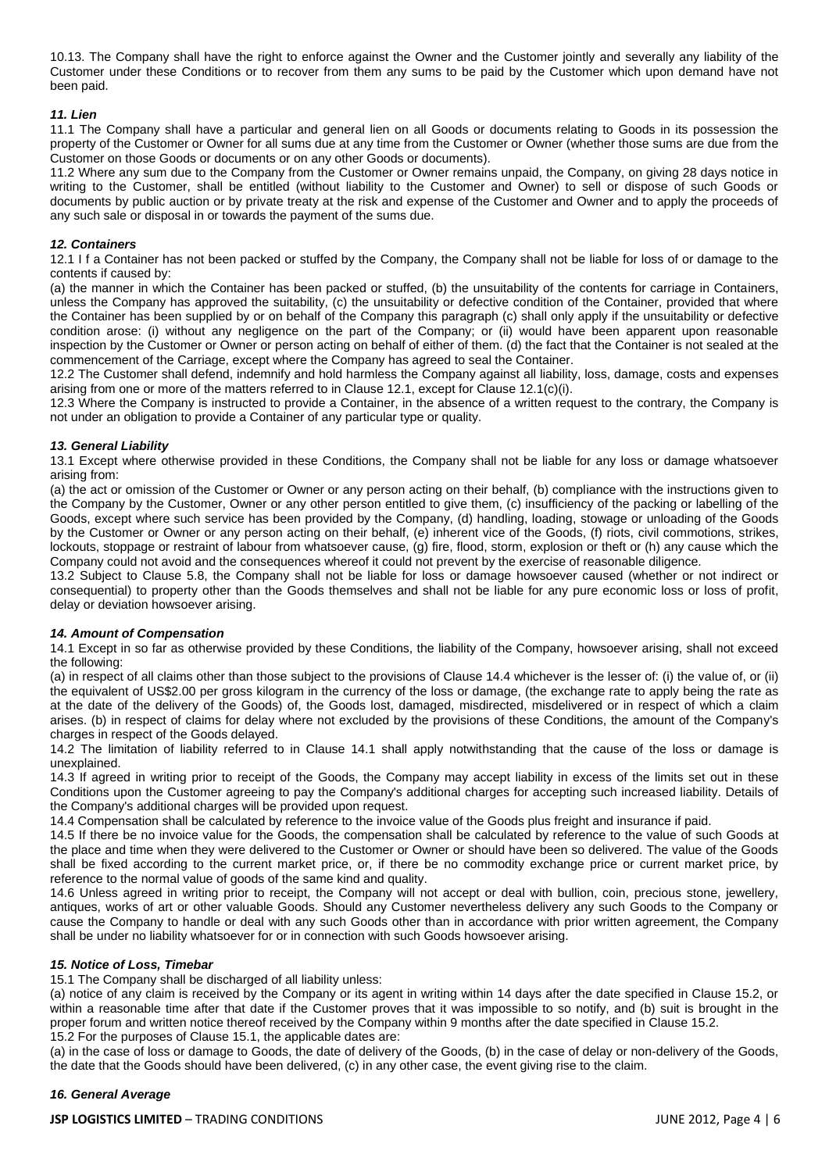10.13. The Company shall have the right to enforce against the Owner and the Customer jointly and severally any liability of the Customer under these Conditions or to recover from them any sums to be paid by the Customer which upon demand have not been paid.

## *11. Lien*

11.1 The Company shall have a particular and general lien on all Goods or documents relating to Goods in its possession the property of the Customer or Owner for all sums due at any time from the Customer or Owner (whether those sums are due from the Customer on those Goods or documents or on any other Goods or documents).

11.2 Where any sum due to the Company from the Customer or Owner remains unpaid, the Company, on giving 28 days notice in writing to the Customer, shall be entitled (without liability to the Customer and Owner) to sell or dispose of such Goods or documents by public auction or by private treaty at the risk and expense of the Customer and Owner and to apply the proceeds of any such sale or disposal in or towards the payment of the sums due.

## *12. Containers*

12.1 I f a Container has not been packed or stuffed by the Company, the Company shall not be liable for loss of or damage to the contents if caused by:

(a) the manner in which the Container has been packed or stuffed, (b) the unsuitability of the contents for carriage in Containers, unless the Company has approved the suitability, (c) the unsuitability or defective condition of the Container, provided that where the Container has been supplied by or on behalf of the Company this paragraph (c) shall only apply if the unsuitability or defective condition arose: (i) without any negligence on the part of the Company; or (ii) would have been apparent upon reasonable inspection by the Customer or Owner or person acting on behalf of either of them. (d) the fact that the Container is not sealed at the commencement of the Carriage, except where the Company has agreed to seal the Container.

12.2 The Customer shall defend, indemnify and hold harmless the Company against all liability, loss, damage, costs and expenses arising from one or more of the matters referred to in Clause 12.1, except for Clause 12.1(c)(i).

12.3 Where the Company is instructed to provide a Container, in the absence of a written request to the contrary, the Company is not under an obligation to provide a Container of any particular type or quality.

# *13. General Liability*

13.1 Except where otherwise provided in these Conditions, the Company shall not be liable for any loss or damage whatsoever arising from:

(a) the act or omission of the Customer or Owner or any person acting on their behalf, (b) compliance with the instructions given to the Company by the Customer, Owner or any other person entitled to give them, (c) insufficiency of the packing or labelling of the Goods, except where such service has been provided by the Company, (d) handling, loading, stowage or unloading of the Goods by the Customer or Owner or any person acting on their behalf, (e) inherent vice of the Goods, (f) riots, civil commotions, strikes, lockouts, stoppage or restraint of labour from whatsoever cause, (g) fire, flood, storm, explosion or theft or (h) any cause which the Company could not avoid and the consequences whereof it could not prevent by the exercise of reasonable diligence.

13.2 Subject to Clause 5.8, the Company shall not be liable for loss or damage howsoever caused (whether or not indirect or consequential) to property other than the Goods themselves and shall not be liable for any pure economic loss or loss of profit, delay or deviation howsoever arising.

#### *14. Amount of Compensation*

14.1 Except in so far as otherwise provided by these Conditions, the liability of the Company, howsoever arising, shall not exceed the following:

(a) in respect of all claims other than those subject to the provisions of Clause 14.4 whichever is the lesser of: (i) the value of, or (ii) the equivalent of US\$2.00 per gross kilogram in the currency of the loss or damage, (the exchange rate to apply being the rate as at the date of the delivery of the Goods) of, the Goods lost, damaged, misdirected, misdelivered or in respect of which a claim arises. (b) in respect of claims for delay where not excluded by the provisions of these Conditions, the amount of the Company's charges in respect of the Goods delayed.

14.2 The limitation of liability referred to in Clause 14.1 shall apply notwithstanding that the cause of the loss or damage is unexplained.

14.3 If agreed in writing prior to receipt of the Goods, the Company may accept liability in excess of the limits set out in these Conditions upon the Customer agreeing to pay the Company's additional charges for accepting such increased liability. Details of the Company's additional charges will be provided upon request.

14.4 Compensation shall be calculated by reference to the invoice value of the Goods plus freight and insurance if paid.

14.5 If there be no invoice value for the Goods, the compensation shall be calculated by reference to the value of such Goods at the place and time when they were delivered to the Customer or Owner or should have been so delivered. The value of the Goods shall be fixed according to the current market price, or, if there be no commodity exchange price or current market price, by reference to the normal value of goods of the same kind and quality.

14.6 Unless agreed in writing prior to receipt, the Company will not accept or deal with bullion, coin, precious stone, jewellery, antiques, works of art or other valuable Goods. Should any Customer nevertheless delivery any such Goods to the Company or cause the Company to handle or deal with any such Goods other than in accordance with prior written agreement, the Company shall be under no liability whatsoever for or in connection with such Goods howsoever arising.

#### *15. Notice of Loss, Timebar*

15.1 The Company shall be discharged of all liability unless:

(a) notice of any claim is received by the Company or its agent in writing within 14 days after the date specified in Clause 15.2, or within a reasonable time after that date if the Customer proves that it was impossible to so notify, and (b) suit is brought in the proper forum and written notice thereof received by the Company within 9 months after the date specified in Clause 15.2. 15.2 For the purposes of Clause 15.1, the applicable dates are:

(a) in the case of loss or damage to Goods, the date of delivery of the Goods, (b) in the case of delay or non-delivery of the Goods, the date that the Goods should have been delivered, (c) in any other case, the event giving rise to the claim.

#### *16. General Average*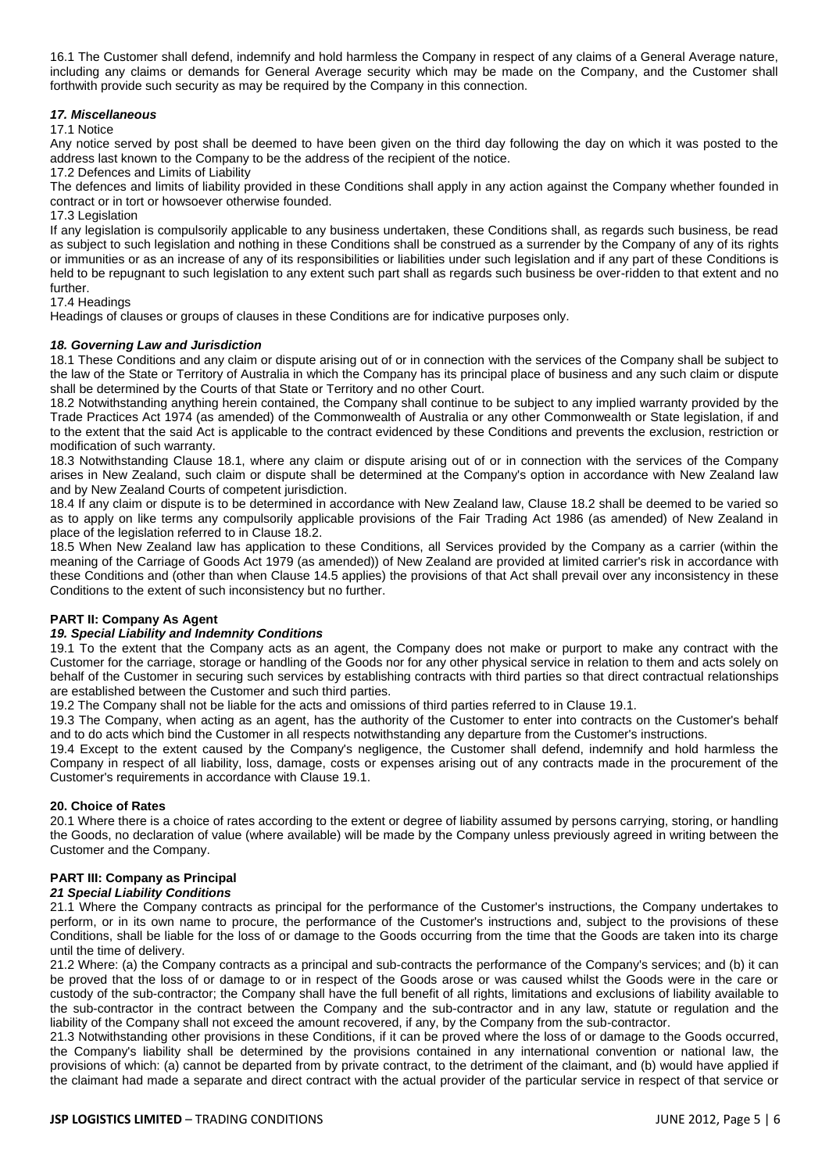16.1 The Customer shall defend, indemnify and hold harmless the Company in respect of any claims of a General Average nature, including any claims or demands for General Average security which may be made on the Company, and the Customer shall forthwith provide such security as may be required by the Company in this connection.

## *17. Miscellaneous*

17.1 Notice

Any notice served by post shall be deemed to have been given on the third day following the day on which it was posted to the address last known to the Company to be the address of the recipient of the notice.

17.2 Defences and Limits of Liability

The defences and limits of liability provided in these Conditions shall apply in any action against the Company whether founded in contract or in tort or howsoever otherwise founded.

17.3 Legislation

If any legislation is compulsorily applicable to any business undertaken, these Conditions shall, as regards such business, be read as subject to such legislation and nothing in these Conditions shall be construed as a surrender by the Company of any of its rights or immunities or as an increase of any of its responsibilities or liabilities under such legislation and if any part of these Conditions is held to be repugnant to such legislation to any extent such part shall as regards such business be over-ridden to that extent and no further.

#### 17.4 Headings

Headings of clauses or groups of clauses in these Conditions are for indicative purposes only.

#### *18. Governing Law and Jurisdiction*

18.1 These Conditions and any claim or dispute arising out of or in connection with the services of the Company shall be subject to the law of the State or Territory of Australia in which the Company has its principal place of business and any such claim or dispute shall be determined by the Courts of that State or Territory and no other Court.

18.2 Notwithstanding anything herein contained, the Company shall continue to be subject to any implied warranty provided by the Trade Practices Act 1974 (as amended) of the Commonwealth of Australia or any other Commonwealth or State legislation, if and to the extent that the said Act is applicable to the contract evidenced by these Conditions and prevents the exclusion, restriction or modification of such warranty.

18.3 Notwithstanding Clause 18.1, where any claim or dispute arising out of or in connection with the services of the Company arises in New Zealand, such claim or dispute shall be determined at the Company's option in accordance with New Zealand law and by New Zealand Courts of competent jurisdiction.

18.4 If any claim or dispute is to be determined in accordance with New Zealand law, Clause 18.2 shall be deemed to be varied so as to apply on like terms any compulsorily applicable provisions of the Fair Trading Act 1986 (as amended) of New Zealand in place of the legislation referred to in Clause 18.2.

18.5 When New Zealand law has application to these Conditions, all Services provided by the Company as a carrier (within the meaning of the Carriage of Goods Act 1979 (as amended)) of New Zealand are provided at limited carrier's risk in accordance with these Conditions and (other than when Clause 14.5 applies) the provisions of that Act shall prevail over any inconsistency in these Conditions to the extent of such inconsistency but no further.

#### **PART II: Company As Agent**

# *19. Special Liability and Indemnity Conditions*

19.1 To the extent that the Company acts as an agent, the Company does not make or purport to make any contract with the Customer for the carriage, storage or handling of the Goods nor for any other physical service in relation to them and acts solely on behalf of the Customer in securing such services by establishing contracts with third parties so that direct contractual relationships are established between the Customer and such third parties.

19.2 The Company shall not be liable for the acts and omissions of third parties referred to in Clause 19.1.

19.3 The Company, when acting as an agent, has the authority of the Customer to enter into contracts on the Customer's behalf and to do acts which bind the Customer in all respects notwithstanding any departure from the Customer's instructions.

19.4 Except to the extent caused by the Company's negligence, the Customer shall defend, indemnify and hold harmless the Company in respect of all liability, loss, damage, costs or expenses arising out of any contracts made in the procurement of the Customer's requirements in accordance with Clause 19.1.

#### **20. Choice of Rates**

20.1 Where there is a choice of rates according to the extent or degree of liability assumed by persons carrying, storing, or handling the Goods, no declaration of value (where available) will be made by the Company unless previously agreed in writing between the Customer and the Company.

# **PART III: Company as Principal**

#### *21 Special Liability Conditions*

21.1 Where the Company contracts as principal for the performance of the Customer's instructions, the Company undertakes to perform, or in its own name to procure, the performance of the Customer's instructions and, subject to the provisions of these Conditions, shall be liable for the loss of or damage to the Goods occurring from the time that the Goods are taken into its charge until the time of delivery.

21.2 Where: (a) the Company contracts as a principal and sub-contracts the performance of the Company's services; and (b) it can be proved that the loss of or damage to or in respect of the Goods arose or was caused whilst the Goods were in the care or custody of the sub-contractor; the Company shall have the full benefit of all rights, limitations and exclusions of liability available to the sub-contractor in the contract between the Company and the sub-contractor and in any law, statute or regulation and the liability of the Company shall not exceed the amount recovered, if any, by the Company from the sub-contractor.

21.3 Notwithstanding other provisions in these Conditions, if it can be proved where the loss of or damage to the Goods occurred, the Company's liability shall be determined by the provisions contained in any international convention or national law, the provisions of which: (a) cannot be departed from by private contract, to the detriment of the claimant, and (b) would have applied if the claimant had made a separate and direct contract with the actual provider of the particular service in respect of that service or